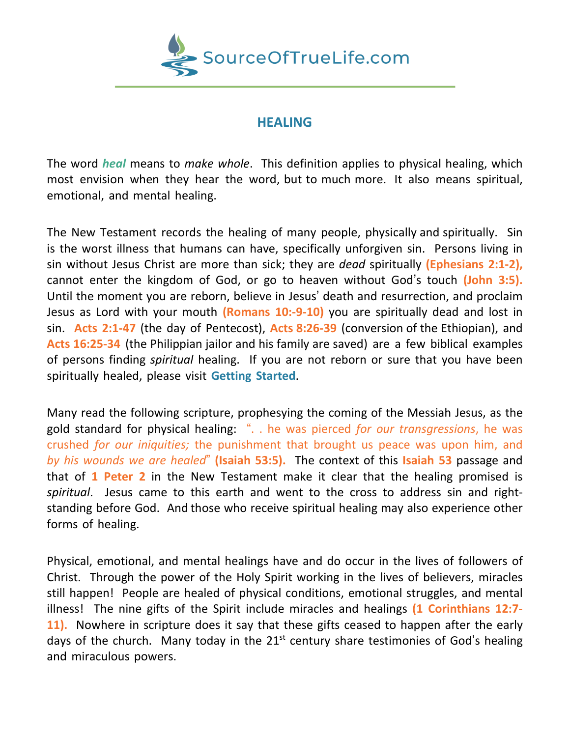

## **HEALING**

The word *heal* means to *make whole*. This definition applies to physical healing, which most envision when they hear the word, but to much more. It also means spiritual, emotional, and mental healing.

The New Testament records the healing of many people, physically and spiritually. Sin is the worst illness that humans can have, specifically unforgiven sin. Persons living in sin without Jesus Christ are more than sick; they are *dead* spiritually **(Ephesians 2:1-2),** cannot enter the kingdom of God, or go to heaven without God's touch **(John 3:5).** Until the moment you are reborn, believe in Jesus' death and resurrection, and proclaim Jesus as Lord with your mouth **(Romans 10:-9-10)** you are spiritually dead and lost in sin. **Acts 2:1-47** (the day of Pentecost), **Acts 8:26-39** (conversion of the Ethiopian), and **Acts 16:25-34** (the Philippian jailor and his family are saved) are a few biblical examples of persons finding *spiritual* healing. If you are not reborn or sure that you have been spiritually healed, please visit **Getting Started**.

Many read the following scripture, prophesying the coming of the Messiah Jesus, as the gold standard for physical healing: ". . he was pierced *for our transgressions*, he was crushed *for our iniquities;* the punishment that brought us peace was upon him, and *by his wounds we are healed*" **(Isaiah 53:5).** The context of this **Isaiah 53** passage and that of **1 Peter 2** in the New Testament make it clear that the healing promised is *spiritual*. Jesus came to this earth and went to the cross to address sin and rightstanding before God. And those who receive spiritual healing may also experience other forms of healing.

Physical, emotional, and mental healings have and do occur in the lives of followers of Christ. Through the power of the Holy Spirit working in the lives of believers, miracles still happen! People are healed of physical conditions, emotional struggles, and mental illness! The nine gifts of the Spirit include miracles and healings **(1 Corinthians 12:7- 11).** Nowhere in scripture does it say that these gifts ceased to happen after the early days of the church. Many today in the  $21<sup>st</sup>$  century share testimonies of God's healing and miraculous powers.